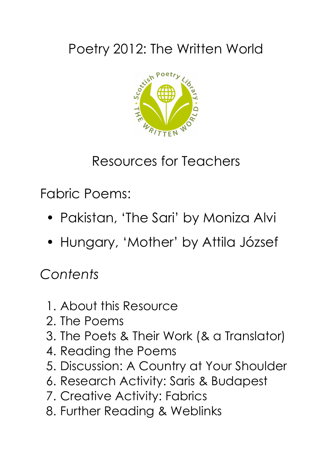# Poetry 2012: The Written World



## Resources for Teachers

Fabric Poems:

- Pakistan, 'The Sari' by Moniza Alvi
- Hungary, 'Mother' by Attila József

# *Contents*

- 1. About this Resource
- 2. The Poems
- 3. The Poets & Their Work (& a Translator)
- 4. Reading the Poems
- 5. Discussion: A Country at Your Shoulder
- 6. Research Activity: Saris & Budapest
- 7. Creative Activity: Fabrics
- 8. Further Reading & Weblinks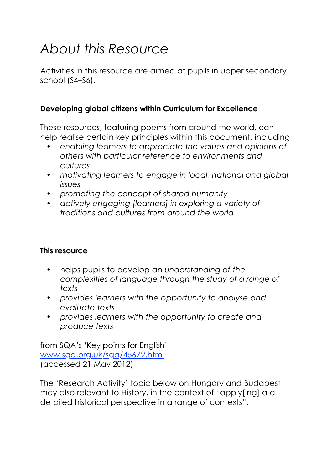# *About this Resource*

Activities in this resource are aimed at pupils in upper secondary school (S4–S6).

### **Developing global citizens within Curriculum for Excellence**

These resources, featuring poems from around the world, can help realise certain key principles within this document, including

- *• enabling learners to appreciate the values and opinions of others with particular reference to environments and cultures*
- *• motivating learners to engage in local, national and global issues*
- *• promoting the concept of shared humanity*
- *• actively engaging [learners] in exploring a variety of traditions and cultures from around the world*

#### **This resource**

- helps pupils to develop an *understanding of the complexities of language through the study of a range of texts*
- *• provides learners with the opportunity to analyse and evaluate texts*
- *• provides learners with the opportunity to create and produce texts*

from SQA's 'Key points for English' www.sqa.org.uk/sqa/45672.html (accessed 21 May 2012)

The 'Research Activity' topic below on Hungary and Budapest may also relevant to History, in the context of "apply[ing] a a detailed historical perspective in a range of contexts".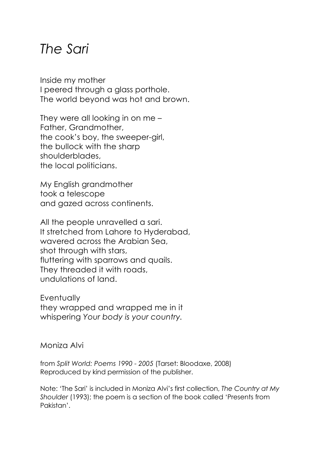### *The Sari*

Inside my mother I peered through a glass porthole. The world beyond was hot and brown.

They were all looking in on me – Father, Grandmother, the cook's boy, the sweeper-girl, the bullock with the sharp shoulderblades, the local politicians.

My English grandmother took a telescope and gazed across continents.

All the people unravelled a sari. It stretched from Lahore to Hyderabad, wavered across the Arabian Sea, shot through with stars, fluttering with sparrows and quails. They threaded it with roads, undulations of land.

**Eventually** they wrapped and wrapped me in it whispering *Your body is your country.*

Moniza Alvi

from *Split World: Poems 1990 - 2005* (Tarset: Bloodaxe, 2008) Reproduced by kind permission of the publisher.

Note: 'The Sari' is included in Moniza Alvi's first collection, *The Country at My Shoulder* (1993); the poem is a section of the book called 'Presents from Pakistan'.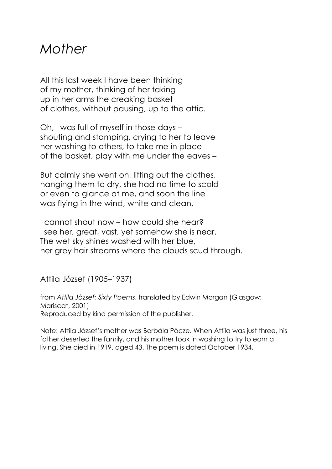### *Mother*

All this last week I have been thinking of my mother, thinking of her taking up in her arms the creaking basket of clothes, without pausing, up to the attic.

Oh, I was full of myself in those days – shouting and stamping, crying to her to leave her washing to others, to take me in place of the basket, play with me under the eaves –

But calmly she went on, lifting out the clothes, hanging them to dry, she had no time to scold or even to glance at me, and soon the line was flying in the wind, white and clean.

I cannot shout now – how could she hear? I see her, great, vast, yet somehow she is near. The wet sky shines washed with her blue, her grey hair streams where the clouds scud through.

Attila József (1905–1937)

from *Attila Jόzsef: Sixty Poems*, translated by Edwin Morgan (Glasgow: Mariscat, 2001) Reproduced by kind permission of the publisher.

Note: Attila József's mother was Borbála Pőcze. When Attila was just three, his father deserted the family, and his mother took in washing to try to earn a living. She died in 1919, aged 43. The poem is dated October 1934.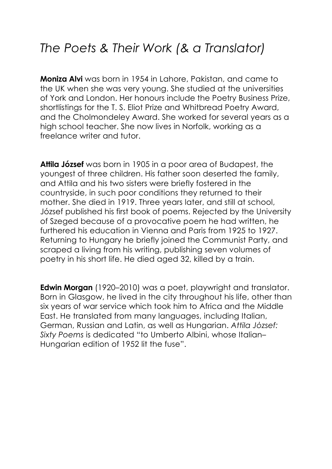### *The Poets & Their Work (& a Translator)*

**Moniza Alvi** was born in 1954 in Lahore, Pakistan, and came to the UK when she was very young. She studied at the universities of York and London. Her honours include the Poetry Business Prize, shortlistings for the T. S. Eliot Prize and Whitbread Poetry Award, and the Cholmondeley Award. She worked for several years as a high school teacher. She now lives in Norfolk, working as a freelance writer and tutor.

**Attila József** was born in 1905 in a poor area of Budapest, the youngest of three children. His father soon deserted the family, and Attila and his two sisters were briefly fostered in the countryside, in such poor conditions they returned to their mother. She died in 1919. Three years later, and still at school, József published his first book of poems. Rejected by the University of Szeged because of a provocative poem he had written, he furthered his education in Vienna and Paris from 1925 to 1927. Returning to Hungary he briefly joined the Communist Party, and scraped a living from his writing, publishing seven volumes of poetry in his short life. He died aged 32, killed by a train.

**Edwin Morgan** (1920–2010) was a poet, playwright and translator. Born in Glasgow, he lived in the city throughout his life, other than six years of war service which took him to Africa and the Middle East. He translated from many languages, including Italian, German, Russian and Latin, as well as Hungarian. *Attila Jόzsef: Sixty Poems* is dedicated "to Umberto Albini, whose Italian– Hungarian edition of 1952 lit the fuse".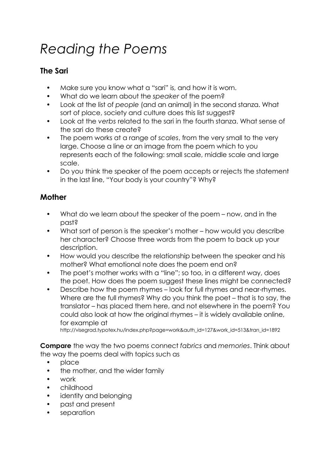# *Reading the Poems*

#### **The Sari**

- Make sure you know what a "sari" is, and how it is worn.
- What do we learn about the *speaker* of the poem?
- Look at the list of *people* (and an animal) in the second stanza. What sort of place, society and culture does this list suggest?
- Look at the *verbs* related to the sari in the fourth stanza. What sense of the sari do these create?
- The poem works at a range of *scales*, from the very small to the very large. Choose a line or an image from the poem which to you represents each of the following: small scale, middle scale and large scale.
- Do you think the speaker of the poem accepts or rejects the statement in the last line, "Your body is your country"? Why?

### **Mother**

- What do we learn about the speaker of the poem now, and in the past?
- What sort of person is the speaker's mother how would you describe her character? Choose three words from the poem to back up your description.
- How would you describe the relationship between the speaker and his mother? What emotional note does the poem end on?
- The poet's mother works with a "line"; so too, in a different way, does the poet. How does the poem suggest these lines might be connected?
- Describe how the poem rhymes look for full rhymes and near-rhymes. Where are the full rhymes? Why do you think the poet – that is to say, the translator – has placed them here, and not elsewhere in the poem? You could also look at how the original rhymes – it is widely available online, for example at

http://visegrad.typotex.hu/index.php?page=work&auth\_id=127&work\_id=513&tran\_id=1892

**Compare** the way the two poems connect *fabrics* and *memories*. Think about the way the poems deal with topics such as

- place
- the mother, and the wider family
- work
- childhood
- identity and belonging
- past and present
- separation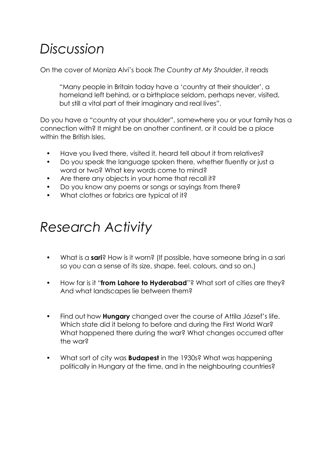## *Discussion*

On the cover of Moniza Alvi's book *The Country at My Shoulder*, it reads

"Many people in Britain today have a 'country at their shoulder', a homeland left behind, or a birthplace seldom, perhaps never, visited, but still a vital part of their imaginary and real lives".

Do you have a "country at your shoulder", somewhere you or your family has a connection with? It might be on another continent, or it could be a place within the British Isles.

- Have you lived there, visited it, heard tell about it from relatives?
- Do you speak the language spoken there, whether fluently or just a word or two? What key words come to mind?
- Are there any objects in your home that recall it?
- Do you know any poems or songs or sayings from there?
- What clothes or fabrics are typical of it?

## *Research Activity*

- What is a **sari**? How is it worn? (If possible, have someone bring in a sari so you can a sense of its size, shape, feel, colours, and so on.)
- How far is it "**from Lahore to Hyderabad**"? What sort of cities are they? And what landscapes lie between them?
- Find out how **Hungary** changed over the course of Attila József's life. Which state did it belong to before and during the First World War? What happened there during the war? What changes occurred after the war?
- What sort of city was **Budapest** in the 1930s? What was happening politically in Hungary at the time, and in the neighbouring countries?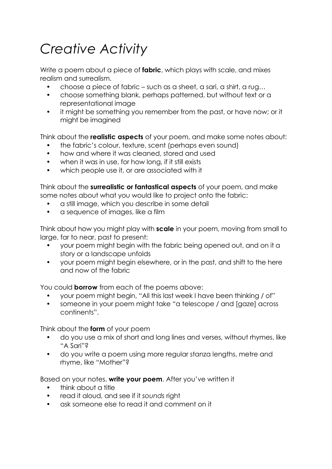# *Creative Activity*

Write a poem about a piece of **fabric**, which plays with scale, and mixes realism and surrealism.

- choose a piece of fabric such as a sheet, a sari, a shirt, a rug…
- choose something blank, perhaps patterned, but without text or a representational image
- it might be something you remember from the past, or have now; or it might be imagined

Think about the **realistic aspects** of your poem, and make some notes about:

- the fabric's colour, texture, scent (perhaps even sound)
- how and where it was cleaned, stored and used
- when it was in use, for how long, if it still exists
- which people use it, or are associated with it

Think about the **surrealistic or fantastical aspects** of your poem, and make some notes about what you would like to project onto the fabric:

- a still image, which you describe in some detail
- a sequence of images, like a film

Think about how you might play with **scale** in your poem, moving from small to large, far to near, past to present:

- your poem might begin with the fabric being opened out, and on it a story or a landscape unfolds
- your poem might begin elsewhere, or in the past, and shift to the here and now of the fabric

You could **borrow** from each of the poems above:

- your poem might begin, "All this last week I have been thinking / of"
- someone in your poem might take "a telescope / and [gaze] across continents".

Think about the **form** of your poem

- do you use a mix of short and long lines and verses, without rhymes, like "A Sari"?
- do you write a poem using more regular stanza lengths, metre and rhyme, like "Mother"?

Based on your notes, **write your poem**. After you've written it

- think about a title
- read it aloud, and see if it *sounds* right
- ask someone else to read it and comment on it